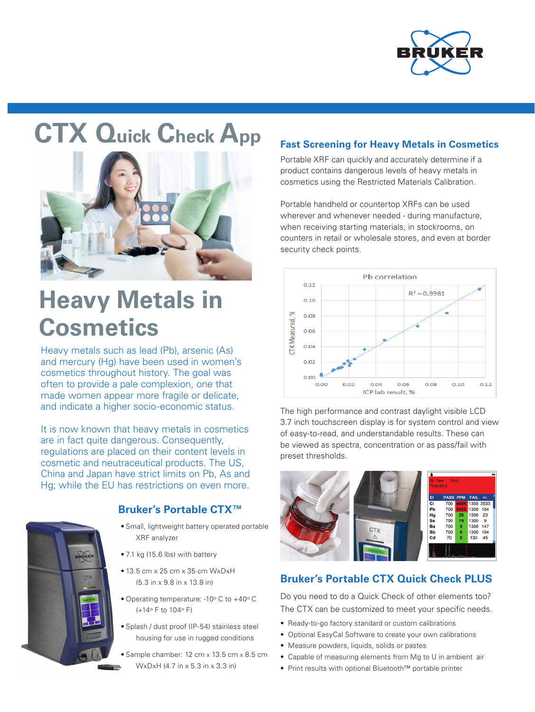

# **CTX Quick Check App**



# **Heavy Metals in Cosmetics**

Heavy metals such as lead (Pb), arsenic (As) and mercury (Hg) have been used in women's cosmetics throughout history. The goal was often to provide a pale complexion, one that made women appear more fragile or delicate, and indicate a higher socio-economic status.

It is now known that heavy metals in cosmetics are in fact quite dangerous. Consequently, regulations are placed on their content levels in cosmetic and neutraceutical products. The US, China and Japan have strict limits on Pb, As and Hg; while the EU has restrictions on even more.



### **Bruker's Portable CTX™**

- Small, lightweight battery operated portable XRF analyzer
- 7.1 kg (15.6 lbs) with battery
- 13.5 cm x 25 cm x 35 cm WxDxH (5.3 in x 9.8 in x 13.8 in)
- Operating temperature: -10° C to +40° C (+14o F to 104o F)
- Splash / dust proof (IP-54) stainless steel housing for use in rugged conditions
- Sample chamber: 12 cm x 13.5 cm x 8.5 cm WxDxH (4.7 in x 5.3 in x 3.3 in)

#### **Fast Screening for Heavy Metals in Cosmetics**

Portable XRF can quickly and accurately determine if a product contains dangerous levels of heavy metals in cosmetics using the Restricted Materials Calibration.

Portable handheld or countertop XRFs can be used wherever and whenever needed - during manufacture, when receiving starting materials, in stockrooms, on counters in retail or wholesale stores, and even at border security check points.



The high performance and contrast daylight visible LCD 3.7 inch touchscreen display is for system control and view of easy-to-read, and understandable results. These can be viewed as spectra, concentration or as pass/fail with preset thresholds.



### **Bruker's Portable CTX Quick Check PLUS**

Do you need to do a Quick Check of other elements too? The CTX can be customized to meet your specific needs.

- Ready-to-go factory standard or custom calibrations
- Optional EasyCal Software to create your own calibrations
- Measure powders, liquids, solids or pastes
- Capable of measuring elements from Mg to U in ambient air
- Print results with optional Bluetooth™ portable printer